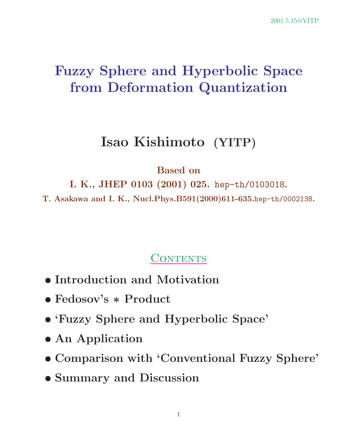# **Fuzzy Sphere and Hyperbolic Space from Deformation Quantization**

## **Isao Kishimoto (YITP)**

#### **Based on**

**I. K., JHEP 0103 (2001) 025.** hep-th/0103018**.**

**T. Asakawa and I. K., Nucl.Phys.B591(2000)611-635.**hep-th/0002138**.**

## CONTENTS

- *•* **Introduction and Motivation**
- *•* **Fedosov's** *∗* **Product**
- *•* **'Fuzzy Sphere and Hyperbolic Space'**
- *•* **An Application**
- *•* **Comparison with 'Conventional Fuzzy Sphere'**
- *•* **Summary and Discussion**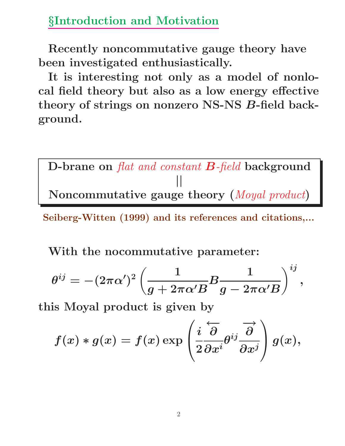### *§***Introduction and Motivation**

**Recently noncommutative gauge theory have been investigated enthusiastically.**

**It is interesting not only as a model of nonlocal field theory but also as a low energy effective theory of strings on nonzero NS-NS** *B***-field background.**

**D-brane on** *flat and constant B-field* **background** *||* **Noncommutative gauge theory (***Moyal product***)**

**Seiberg-Witten (1999) and its references and citations,...**

**With the nocommutative parameter:**

$$
\theta^{ij}=-(2\pi\alpha')^2\left(\frac{1}{g+2\pi\alpha'B}B\frac{1}{g-2\pi\alpha'B}\right)^{ij},
$$

**this Moyal product is given by**

$$
f(x)*g(x)=f(x)\exp\left(\frac{i}{2}\overleftarrow{\frac{\partial}{\partial x^{i}}}\theta^{ij}\overrightarrow{\frac{\partial}{\partial x^{j}}}\right)g(x),
$$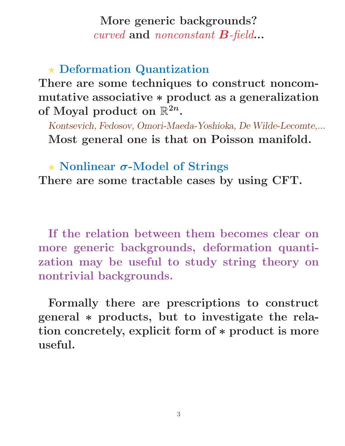### **More generic backgrounds?** *curved* **and** *nonconstant B-field***...**

**Deformation Quantization**

**There are some techniques to construct noncommutative associative** *∗* **product as a generalization** of Moyal product on  $\mathbb{R}^{2n}$ .

*Kontsevich, Fedosov, Omori-Maeda-Yoshioka, De Wilde-Lecomte,...* **Most general one is that on Poisson manifold.**

 **Nonlinear** *σ***-Model of Strings There are some tractable cases by using CFT.**

**If the relation between them becomes clear on more generic backgrounds, deformation quantization may be useful to study string theory on nontrivial backgrounds.**

**Formally there are prescriptions to construct general** *∗* **products, but to investigate the relation concretely, explicit form of** *∗* **product is more useful.**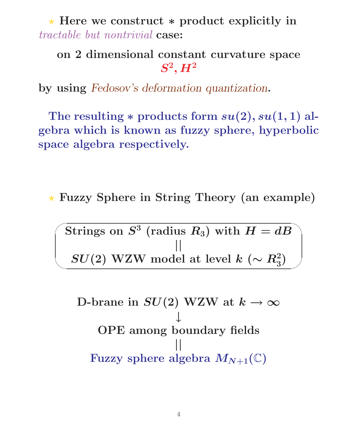**Here we construct** *∗* **product explicitly in** *tractable but nontrivial* **case:**

## **on 2 dimensional constant curvature space**  $S^2$ *, H*<sup>2</sup>

**by using** *Fedosov's deformation quantization***.**

The resulting  $*$  products form  $su(2)$ *,*  $su(1,1)$  al**gebra which is known as fuzzy sphere, hyperbolic space algebra respectively.**

**Fuzzy Sphere in String Theory (an example)**

 $\sqrt{\text{Strings on } S^3 \text{ (radius } R_3) \text{ with } H = dB}$ *||*  $SU(2)$  WZW model at level  $k$  ( $∼$   $R_3^2$ )

✫

**D-brane in**  $SU(2)$  WZW at  $k \to \infty$ *↓* **OPE among boundary fields** *||* Fuzzy sphere algebra  $M_{N+1}(\mathbb{C})$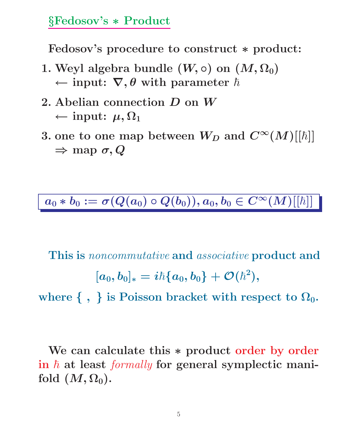#### *§***Fedosov's** *∗* **Product**

**Fedosov's procedure to construct** *∗* **product:**

- **1.** Weyl algebra bundle  $(W, \circ)$  on  $(M, \Omega_0)$  $\leftarrow$  **input:**  $\nabla$ ,  $\theta$  with parameter  $\hbar$
- **2. Abelian connection** *D* **on** *W*  $←$  **input:**  $μ, Ω<sub>1</sub>$
- $3.$  one to one map between  $W_D$  and  $C^{\infty}(M)[[\hbar]]$ *⇒* **map** *σ, Q*

 $\overline{a_0 \ast b_0 := \sigma(Q(a_0) \circ Q(b_0)), a_0, b_0 \in C^\infty(M)[[\hbar]]}$ 

**This is** *noncommutative* **and** *associative* **product and**  $[a_0,b_0]_* = i\hbar\{a_0,b_0\} + \mathcal{O}(\hbar^2),$ 

where  $\{ , \}$  is Poisson bracket with respect to  $\Omega_0$ .

**We can calculate this** *∗* **product order by order** in  $\hbar$  at least *formally* for general symplectic manifold  $(M, \Omega_0)$ .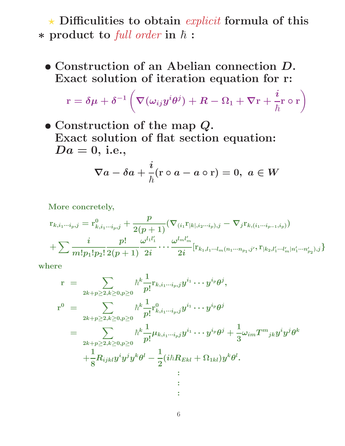**Difficulities to obtain** *explicit* **formula of this ∗** product to *full order* in  $\hbar$  :

*•* **Construction of an Abelian connection** *D***. Exact solution of iteration equation for r:**

$$
\text{r}=\delta\mu+\delta^{-1}\left(\nabla(\omega_{ij}y^i\theta^j)+R-\Omega_1+\nabla\text{r}+\frac{i}{\hbar}\text{r}\circ\text{r}\right)
$$

*•* **Construction of the map** *Q***. Exact solution of flat section equation:**  $Da = 0$ , i.e.,

$$
\nabla a-\delta a+\frac{i}{\hbar}(\text{r}\circ a-a\circ \text{r})=0, \,\, a\in W
$$

**More concretely,**

$$
\hspace{-2cm} \begin{array}{l} {\rm{ }}r_{k,i_1\cdots i_p,j}={\rm{ }}{\rm{ }}r_{k,i_1\cdots i_p,j}^0 + \frac{p}{2(p+1)}( \nabla _{(i_1} {\rm{ }}{\rm{ }}r_{|k|,i_2\cdots i_p),j} - \nabla _{j} {\rm{ }}r_{k,(i_1\cdots i_{p-1},i_p)}) \\ {\rm{ }} + \sum \frac{i}{m!p_1!p_2!} \frac{p!}{2(p+1)} \frac{\omega ^{l_1l'_1}}{2i} \cdots \frac{\omega ^{l_m l'_m}}{2i} [ {\rm{ }}{\rm{ }}r_{k_1,l_1\cdots l_m (n_1\cdots n_{p_1},j'}, {\rm{ }}{\rm{ }}r_{k_2,l'_1\cdots l'_m} |{\rm{ }}n'_1\cdots n'_{p_2}),_j \} \end{array}
$$

**where**

$$
\begin{array}{lcl} \mathbf{r} & = & \sum_{2k+p \geq 2, k \geq 0, p \geq 0} \hbar^k \frac{1}{p!} \mathbf{r}_{k, i_1 \cdots i_p, j} y^{i_1} \cdots y^{i_p} \theta^j, \\ \mathbf{r}^0 & = & \sum_{2k+p \geq 2, k \geq 0, p \geq 0} \hbar^k \frac{1}{p!} \mathbf{r}_{k, i_1 \cdots i_p, j}^0 y^{i_1} \cdots y^{i_p} \theta^j \\ & = & \sum_{2k+p \geq 2, k \geq 0, p \geq 0} \hbar^k \frac{1}{p!} \mu_{k, i_1 \cdots i_p j} y^{i_1} \cdots y^{i_p} \theta^j + \frac{1}{3} \omega_{im} T^m{}_{jk} y^i y^j \theta^k \\ & & + \frac{1}{8} R_{ijkl} y^i y^j y^k \theta^l - \frac{1}{2} (i \hbar R_{Ekl} + \Omega_{1kl}) y^k \theta^l. \\ & & \vdots \\ & & & \vdots \end{array}
$$

**:**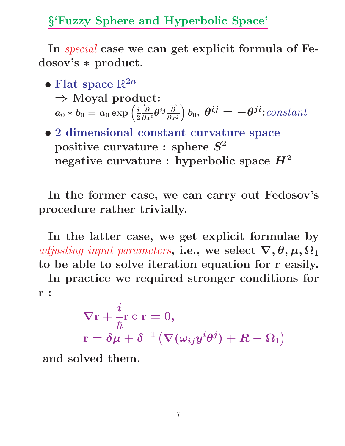*§***'Fuzzy Sphere and Hyperbolic Space'**

**In** *special* **case we can get explicit formula of Fedosov's** *∗* **product.**

- Flat space  $\mathbb{R}^{2n}$ *⇒* **Moyal product:**  $a_0 * b_0 = a_0 \exp\left(\frac{i}{2}\right)$ *←− ∂*  $\frac{\partial}{\partial x^i}\theta^{ij}\frac{\overrightarrow{\partial}}{\partial x^j}$  $\partial/\partial b_0$ ,  $\theta^{ij} = -\theta^{ji}$ **:***constant*
- *•* **2 dimensional constant curvature space positive curvature : sphere** *S***<sup>2</sup> negative curvature : hyperbolic space** *H***<sup>2</sup>**

**In the former case, we can carry out Fedosov's procedure rather trivially.**

**In the latter case, we get explicit formulae by** *adjusting input parameters,* i.e., we select  $\nabla$ ,  $\theta$ ,  $\mu$ ,  $\Omega_1$ **to be able to solve iteration equation for r easily.**

**In practice we required stronger conditions for r :**

$$
\begin{array}{l} \nabla \mathrm{r}+\frac{i}{\hbar} \mathrm{r}\circ \mathrm{r}=0,\\ \nabla \mathrm{r}=\delta \mu+\delta ^{-1}\left(\nabla (\omega _{ij}y^{i}\theta ^{j})+R-\Omega _{1}\right)\end{array}
$$

**and solved them.**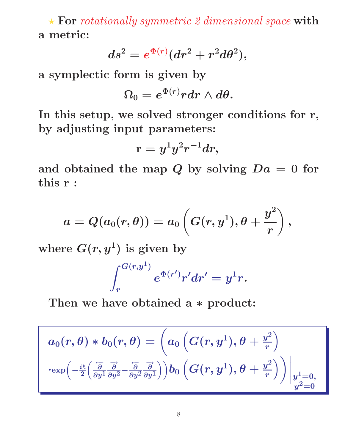**For** *rotationally symmetric 2 dimensional space* **with a metric:**

$$
ds^2=e^{\Phi(r)}(dr^2+r^2d\theta^2),
$$

**a symplectic form is given by**

$$
\Omega_0=e^{\Phi(r)} r dr\wedge d\theta.
$$

**In this setup, we solved stronger conditions for r, by adjusting input parameters:**

$$
\mathrm{r}=y^1y^2r^{-1}dr,
$$

and obtained the map  $Q$  by solving  $Da = 0$  for **this r :**

$$
a=Q(a_0(r,\theta))=a_0\left(G(r,y^1),\theta+\frac{y^2}{r}\right),
$$

where  $G(r, y^1)$  is given by

$$
\int_r^{G(r,y^1)}e^{\Phi(r')}r'dr'=y^1r.
$$

**Then we have obtained a** *∗* **product:**

$$
\begin{array}{llll} a_0(r,\theta)*b_0(r,\theta)=\bigg(a_0\left(G(r,y^1),\theta+\frac{y^2}{r}\right)\\ \cdot\displaystyle\exp\Bigl(-\frac{i\hbar}{2}\Bigl(\frac{\overleftarrow\partial}{\partial y^1}\frac{\overrightarrow\partial}{\partial y^2}-\frac{\overleftarrow\partial}{\partial y^2}\frac{\overrightarrow\partial}{\partial y^1}\Bigr)\Bigr)\Bigr)b_0\left(G(r,y^1),\theta+\frac{y^2}{r}\right)\Bigr)\bigg|_{\begin{subarray}{l} y^1=0,\\ y^2=0\end{subarray}}
$$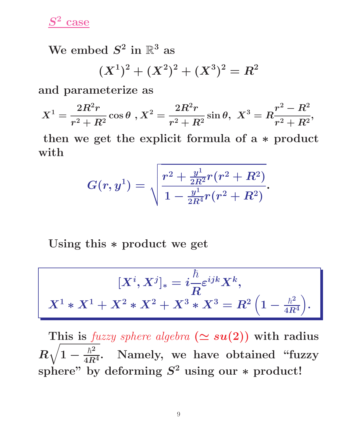*S***<sup>2</sup> case**

We embed  $S^2$  in  $\mathbb{R}^3$  as

$$
(X^1)^2 + (X^2)^2 + (X^3)^2 = R^2
$$

**and parameterize as**

$$
X^1 = \frac{2R^2r}{r^2 + R^2} \cos \theta , X^2 = \frac{2R^2r}{r^2 + R^2} \sin \theta , \; X^3 = R\frac{r^2 - R^2}{r^2 + R^2},
$$

**then we get the explicit formula of a** *∗* **product with**

$$
G(r,y^1)=\sqrt{\frac{r^2+\frac{y^1}{2R^2}r(r^2+R^2)}{1-\frac{y^1}{2R^4}r(r^2+R^2)}}.
$$

**Using this** *∗* **product we get**

$$
[X^i,X^j]_* = i\frac{\hbar}{R}\varepsilon^{ijk}X^k,
$$
  

$$
X^1 * X^1 + X^2 * X^2 + X^3 * X^3 = R^2\left(1 - \frac{\hbar^2}{4R^4}\right).
$$

This is *fuzzy sphere algebra* ( $\simeq su(2)$ ) with radius *R*  $\sqrt{1-\frac{\hbar^2}{4R^4}}$ . Namely, we have obtained "fuzzy **sphere" by deforming** *S***<sup>2</sup> using our** *∗* **product!**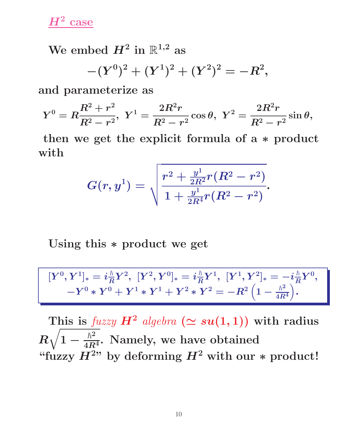*H***<sup>2</sup> case**

We embed  $H^2$  in  $\mathbb{R}^{1,2}$  as

 $-(Y^0)^2 + (Y^1)^2 + (Y^2)^2 = -R^2,$ 

**and parameterize as**

$$
Y^0=R\frac{R^2+r^2}{R^2-r^2},\,\,Y^1=\frac{2R^2r}{R^2-r^2}\cos\theta,\,\,Y^2=\frac{2R^2r}{R^2-r^2}\sin\theta,
$$

**then we get the explicit formula of a** *∗* **product with**

$$
G(r,y^1)=\sqrt{\frac{r^2+\frac{y^1}{2R^2}r(R^2-r^2)}{1+\frac{y^1}{2R^4}r(R^2-r^2)}}.
$$

**Using this** *∗* **product we get**

$$
[Y^0,Y^1]_* = i \tfrac{\hbar}{R} Y^2, \ [Y^2,Y^0]_* = i \tfrac{\hbar}{R} Y^1, \ [Y^1,Y^2]_* = - i \tfrac{\hbar}{R} Y^0, \\ - Y^0*Y^0 + Y^1*Y^1 + Y^2*Y^2 = - R^2 \Big( 1 - \tfrac{\hbar^2}{4R^4} \Big).
$$

This is *fuzzy*  $H^2$  *algebra*  $(\simeq su(1,1))$  with radius *R*  $\sqrt{1 - \frac{\hbar^2}{4R^4}}$ . Namely, we have obtained "fuzzy  $H^{2}$ " by deforming  $H^2$  with our  $*$  product!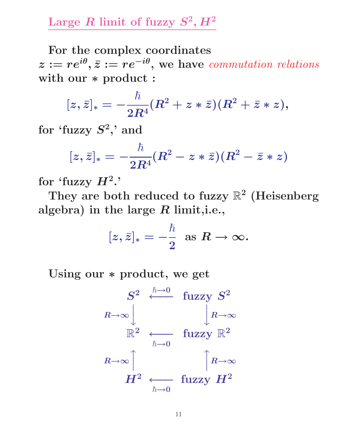## Large *R* limit of fuzzy  $S^2$ ,  $H^2$

**For the complex coordinates**  $z := re^{i\theta}, \bar{z} := re^{-i\theta},$  we have *commutation relations* **with our** *∗* **product :**

$$
[z,\bar{z}]_* = -\frac{\hbar}{2R^4}(R^2 + z*\bar{z})(R^2 + \bar{z}*z),
$$

**for 'fuzzy** *S***2,' and**

$$
[z,\bar{z}]_* = -\frac{\hbar}{2R^4}(R^2 - z*\bar{z})(R^2 - \bar{z}*z)
$$

for 'fuzzy  $H^2$ .'

**They are both reduced to fuzzy** R**<sup>2</sup> (Heisenberg algebra) in the large** *R* **limit,i.e.,**

$$
[z,\bar{z}]_*=-\frac{\hbar}{2}\ \ {\rm as}\ R\to\infty.
$$

**Using our** *∗* **product, we get**

$$
\begin{array}{ccc}\nS^2 & \stackrel{\hbar\rightarrow 0}{\longleftarrow} & \text{fuzzy } S^2 \\
\downarrow R\rightarrow \infty & & R\rightarrow \infty \\
\mathbb{R}^2 & \stackrel{\leftarrow}{\longleftarrow} & \text{fuzzy } \mathbb{R}^2 \\
& \downarrow R\rightarrow \infty & & \\ \downarrow R\rightarrow \infty & & \\ & R\rightarrow \infty & & \\ & H^2 & \stackrel{\leftarrow}{\longleftarrow} & \text{fuzzy } H^2\n\end{array}
$$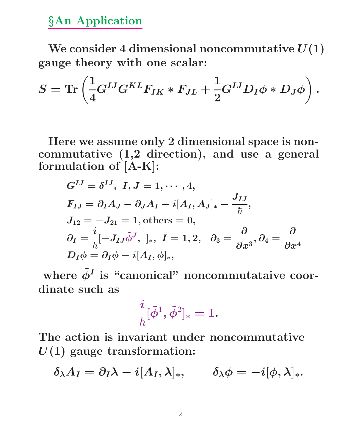*§***An Application**

We consider 4 dimensional noncommutative  $U(1)$ **gauge theory with one scalar:**

$$
S=\text{Tr}\left(\frac{1}{4}G^{IJ}G^{KL}F_{IK}*F_{JL}+\frac{1}{2}G^{IJ}D_I\phi*D_J\phi\right).
$$

**Here we assume only 2 dimensional space is noncommutative (1,2 direction), and use a general formulation of [A-K]:**

$$
G^{IJ} = \delta^{IJ}, I, J = 1, \cdots, 4,
$$
  
\n
$$
F_{IJ} = \partial_I A_J - \partial_J A_I - i[A_I, A_J]_* - \frac{J_{IJ}}{\hbar},
$$
  
\n
$$
J_{12} = -J_{21} = 1, \text{others} = 0,
$$
  
\n
$$
\partial_I = \frac{i}{\hbar} [-J_{IJ}\tilde{\phi}^J, \cdot]_*, I = 1, 2, \quad \partial_3 = \frac{\partial}{\partial x^3}, \partial_4 = \frac{\partial}{\partial x^4},
$$
  
\n
$$
D_I \phi = \partial_I \phi - i[A_I, \phi]_*,
$$

where  $\tilde{\phi}^I$  is "canonical" noncommutataive coor**dinate such as**

$$
\frac{i}{\hbar}[\tilde{\phi}^{1},\tilde{\phi}^{2}]_{\ast}=1.
$$

**The action is invariant under noncommutative** *U***(1) gauge transformation:**

$$
\delta_\lambda A_I = \partial_I \lambda - i[A_I,\lambda]_*, \qquad \delta_\lambda \phi = -i[\phi,\lambda]_*.
$$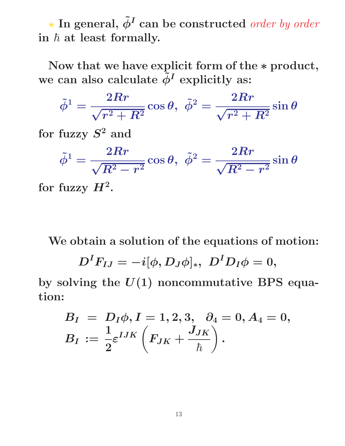$\star$  In general,  $\tilde{\phi}^I$  can be constructed *order by order*  $\frac{1}{2}$   $\hbar$  at least formally.

**Now that we have explicit form of the** *∗* **product,** we can also calculate  $\tilde{\phi}^I$  explicitly as:

$$
\tilde{\phi}^1=\frac{2Rr}{\sqrt{r^2+R^2}}\cos\theta,~~\tilde{\phi}^2=\frac{2Rr}{\sqrt{r^2+R^2}}\sin\theta
$$

**for fuzzy** *S***<sup>2</sup> and**

$$
\tilde{\phi}^1=\frac{2Rr}{\sqrt{R^2-r^2}}\cos\theta,~~\tilde{\phi}^2=\frac{2Rr}{\sqrt{R^2-r^2}}\sin\theta
$$

for fuzzy  $H^2$ .

**We obtain a solution of the equations of motion:**

$$
D^I F_{IJ}=-i[\phi, D_J\phi]_*,\,\,D^I D_I\phi=0,
$$

**by solving the** *U***(1) noncommutative BPS equation:**

$$
\begin{array}{l} B_I \ = \ D_I \phi, I=1,2,3, \quad \! \partial_4=0, A_4=0, \\ B_I \ := \frac{1}{2} \varepsilon^{IJK} \left(F_{JK} + \frac{J_{JK}}{\hbar} \right). \end{array}
$$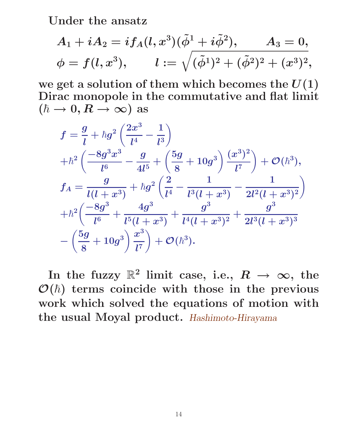**Under the ansatz**

$$
\begin{aligned} A_1 + i A_2 & = i f_A(l,x^3) (\tilde{\phi}^1 + i \tilde{\phi}^2), \qquad A_3 = 0, \\ \phi & = f(l,x^3), \qquad l := \sqrt{(\tilde{\phi}^1)^2 + (\tilde{\phi}^2)^2 + (x^3)^2}, \end{aligned}
$$

we get a solution of them which becomes the  $U(1)$ **Dirac monopole in the commutative and flat limit**  $(\hbar \rightarrow 0, R \rightarrow \infty)$  as

$$
\begin{aligned} &f=\frac{g}{l}+\hbar g^2\left(\frac{2x^3}{l^4}-\frac{1}{l^3}\right)\\ &+\hbar^2\left(\frac{-8g^3x^3}{l^6}-\frac{g}{4l^5}+\left(\frac{5g}{8}+10g^3\right)\frac{(x^3)^2}{l^7}\right)+\mathcal{O}(\hbar^3),\\ &f_A=\frac{g}{l(l+x^3)}+\hbar g^2\left(\frac{2}{l^4}-\frac{1}{l^3(l+x^3)}-\frac{1}{2l^2(l+x^3)^2}\right)\\ &+\hbar^2\bigg(\frac{-8g^3}{l^6}+\frac{4g^3}{l^5(l+x^3)}+\frac{g^3}{l^4(l+x^3)^2}+\frac{g^3}{2l^3(l+x^3)^3}\\ &-\left(\frac{5g}{8}+10g^3\right)\frac{x^3}{l^7}\right)+\mathcal{O}(\hbar^3). \end{aligned}
$$

In the fuzzy  $\mathbb{R}^2$  limit case, i.e.,  $R \rightarrow \infty$ , the  $\mathcal{O}(\hbar)$  terms coincide with those in the previous **work which solved the equations of motion with the usual Moyal product.** *Hashimoto-Hirayama*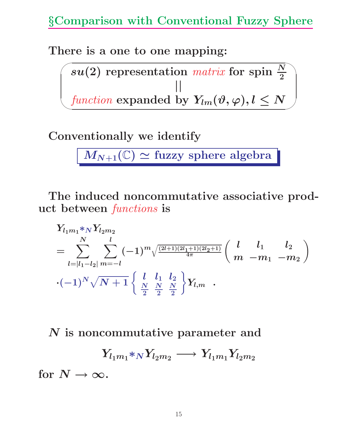**There is a one to one mapping:**

 $\sim$ ✫  $su(2)$  representation *matrix* for spin  $\frac{N}{2}$ *||*  $\emph{function}$   $\emph{expanded}$  by  $\emph{Y}_{lm}(\vartheta,\varphi), l \leq N$ 

**Conventionally we identify**

 $M_{N+1}(\mathbb{C}) \simeq$  fuzzy sphere algebra

**The induced noncommutative associative product between** *functions* **is**

$$
Y_{l_1m_1} *_{N} Y_{l_2m_2}
$$
\n
$$
= \sum_{l=|l_1-l_2|}^{N} \sum_{m=-l}^{l} (-1)^m \sqrt{\frac{(2l+1)(2l_1+1)(2l_2+1)}{4\pi}} \begin{pmatrix} l & l_1 & l_2 \\ m & -m_1 & -m_2 \end{pmatrix}
$$
\n
$$
\cdot (-1)^N \sqrt{N+1} \begin{cases} l & l_1 & l_2 \\ \frac{N}{2} & \frac{N}{2} & \frac{N}{2} \end{cases} Y_{l,m}.
$$

*N* **is noncommutative parameter and**

$$
Y_{l_1m_1} *_{N} Y_{l_2m_2} \longrightarrow Y_{l_1m_1} Y_{l_2m_2}
$$

for  $N \to \infty$ .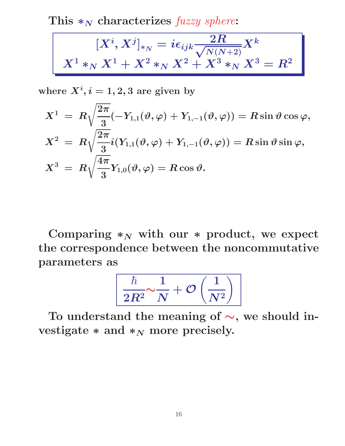**This** *∗<sup>N</sup>* **characterizes** *fuzzy sphere***:**

$$
[X^i,X^j]_{*_N}=i\epsilon_{ijk}\frac{2R}{\sqrt{N(N+2)}}X^k\\ X^1*_{N}X^1+X^2*_N X^2+X^3*_N X^3=R^2
$$

where  $X^i, i = 1, 2, 3$  are given by

$$
\begin{array}{l} X^1 \ = \ R \sqrt{\dfrac{2\pi}{3}} (-Y_{1,1}(\vartheta,\varphi) + Y_{1,-1}(\vartheta,\varphi)) = R \sin \vartheta \cos \varphi, \\[2mm] X^2 \ = \ R \sqrt{\dfrac{2\pi}{3}} i (Y_{1,1}(\vartheta,\varphi) + Y_{1,-1}(\vartheta,\varphi)) = R \sin \vartheta \sin \varphi, \\[2mm] X^3 \ = \ R \sqrt{\dfrac{4\pi}{3}} Y_{1,0}(\vartheta,\varphi) = R \cos \vartheta. \end{array}
$$

Comparing  $*_N$  with our  $*$  product, we expect **the correspondence between the noncommutative parameters as**

$$
\left\lceil \frac{\hbar}{2R^2} {\sim} \frac{1}{N} + \mathcal{O}\left(\frac{1}{N^2}\right) \right\rceil
$$

**To understand the meaning of** *∼***, we should in**vestigate  $*$  and  $*$ <sup>N</sup> more precisely.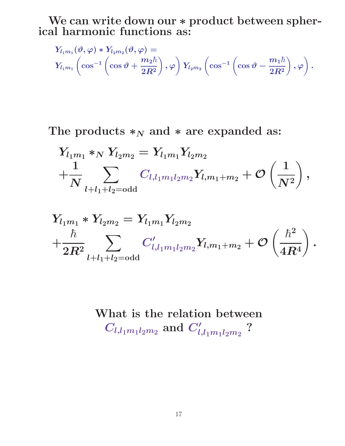**We can write down our** *∗* **product between spherical harmonic functions as:**

$$
\begin{array}{l} Y_{l_1m_1}(\vartheta,\varphi) * Y_{l_2m_2}(\vartheta,\varphi) = \\[2mm] Y_{l_1m_1} \left(\cos^{-1}\left(\cos\vartheta + \dfrac{m_2\hbar}{2R^2}\right),\varphi\right)Y_{l_2m_2} \left(\cos^{-1}\left(\cos\vartheta - \dfrac{m_1\hbar}{2R^2}\right),\varphi\right). \end{array}
$$

#### The products  $*_N$  and  $*$  are expanded as:

$$
\begin{aligned} &Y_{l_1m_1} *_{N} Y_{l_2m_2} = Y_{l_1m_1} Y_{l_2m_2} \\ &+ \frac{1}{N} \sum_{l+l_1+l_2 = \mathrm{odd}} C_{l,l_1m_1l_2m_2} Y_{l,m_1+m_2} + \mathcal{O}\left(\frac{1}{N^2}\right), \end{aligned}
$$

$$
\begin{aligned} &Y_{l_1m_1} * Y_{l_2m_2} = Y_{l_1m_1}Y_{l_2m_2} \\ &+ \frac{\hbar}{2R^2} \sum_{l+l_1+l_2 = \mathrm{odd}} C'_{l,l_1m_1l_2m_2}Y_{l,m_1+m_2} + \mathcal{O}\left(\frac{\hbar^2}{4R^4}\right). \end{aligned}
$$

# **What is the relation between**  $C_{l,l_{1}m_{1}l_{2}m_{2}}$  and  $C'_{l,l_{1}m_{1}l_{2}m_{2}}$  ?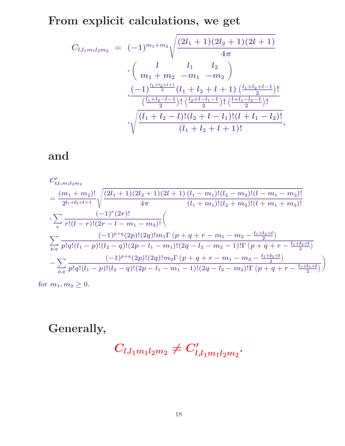**From explicit calculations, we get**

$$
C_{l,l_1m_1l_2m_2} = (-1)^{m_1+m_2} \sqrt{\frac{(2l_1+1)(2l_2+1)(2l+1)}{4\pi}} \cdot \left(\frac{l}{m_1+m_2-m_1-m_2}\right) \cdot \frac{\left(-1\right)^{\frac{l_1+l_2+l+1}{2}}(l_1+l_2+l+1)\left(\frac{l_1+l_2+l-1}{2}\right)!}{\frac{\left(\frac{l_1+l_2-l-1}{2}\right)!\left(\frac{l_2+l-l_1-1}{2}\right)!\left(\frac{l_1+l_2-l}{2}\right)!}{(l_1+l_2-l)!(l_2+l-l_1)!(l+l_1-l_2)!}},
$$

#### **and**

$$
C'_{l,l_1m_1l_2m_2}
$$
\n
$$
= \frac{(m_1+m_2)!}{2^{l_1+l_2+l+1}} \sqrt{\frac{(2l_1+1)(2l_2+1)(2l+1)}{4\pi} \frac{(l_1-m_1)!(l_2-m_2)!(l-m_1-m_2)!}}{(l_1+m_1)!(l_2+m_2)!(l+m_1+m_2)!}}
$$
\n
$$
\cdot \sum_{r} \frac{(-1)^r (2r)!}{r!(l-r)!(2r-l-m_1-m_2)!} \left(\sum_{p,q} \frac{(-1)^{p+q}(2p)!(2q)!m_1\Gamma(p+q+r-m_1-m_2-\frac{l_1+l_2+l}{2})}{p!q!(l_1-p)!(l_2-q)!(2p-l_1-m_1)!(2q-l_2-m_2-1)!\Gamma(p+q+r-\frac{l_1+l_2+l}{2})}\right)\n- \sum_{p,q} \frac{(-1)^{p+q}(2p)!(2q)!m_2\Gamma(p+q+r-m_1-m_2-\frac{l_1+l_2+l}{2})}{p!q!(l_1-p)!(l_2-q)!(2p-l_1-m_1-1)!(2q-l_2-m_2)!\Gamma(p+q+r-\frac{l_1+l_2+l}{2})}\right)
$$

for  $m_1, m_2 \geq 0$ .

## **Generally,**

$$
C_{l,l_1m_1l_2m_2}\neq C'_{l,l_1m_1l_2m_2}.
$$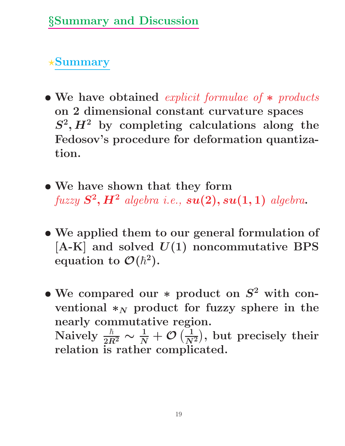**Summary**

- *•* **We have obtained** *explicit formulae of ∗ products* **on 2 dimensional constant curvature spaces**  $S^2$ ,  $H^2$  by completing calculations along the **Fedosov's procedure for deformation quantization.**
- *•* **We have shown that they form** *fuzzy S***<sup>2</sup>***, H***<sup>2</sup>** *algebra i.e., su***(2)***, su***(1***,* **1)** *algebra***.**
- *•* **We applied them to our general formulation of [A-K] and solved** *U***(1) noncommutative BPS** equation to  $\mathcal{O}(\hbar^2)$ .
- *•* **We compared our** *∗* **product on** *S***<sup>2</sup> with conventional**  $*_{N}$  **product** for fuzzy sphere in the **nearly commutative region.** Naively  $\frac{\hbar}{2B}$  $\frac{\hbar}{2R^2} \sim \frac{1}{N} + \mathcal{O}\left(\frac{1}{N^2}\right), \text{ but precisely their }$ **relation is rather complicated.**